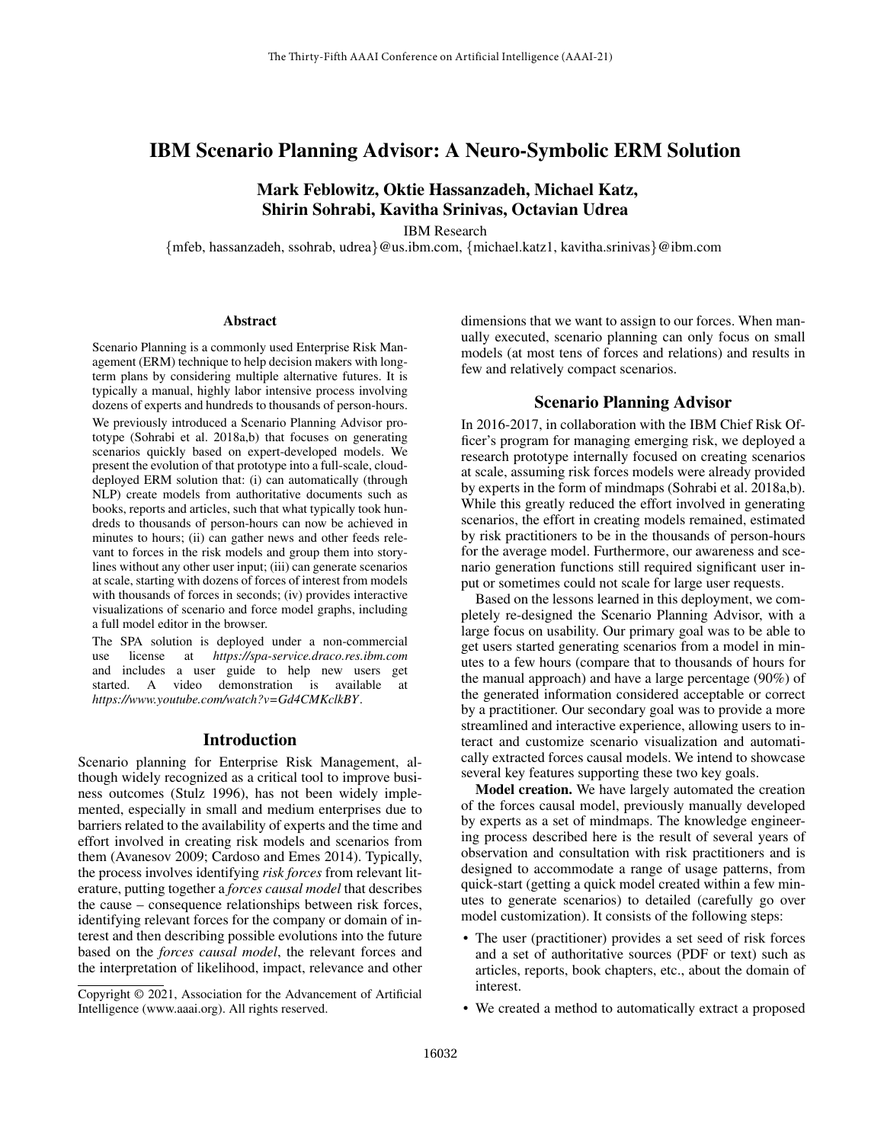## IBM Scenario Planning Advisor: A Neuro-Symbolic ERM Solution

# Mark Feblowitz, Oktie Hassanzadeh, Michael Katz, Shirin Sohrabi, Kavitha Srinivas, Octavian Udrea

IBM Research

{mfeb, hassanzadeh, ssohrab, udrea}@us.ibm.com, {michael.katz1, kavitha.srinivas}@ibm.com

#### Abstract

Scenario Planning is a commonly used Enterprise Risk Management (ERM) technique to help decision makers with longterm plans by considering multiple alternative futures. It is typically a manual, highly labor intensive process involving dozens of experts and hundreds to thousands of person-hours. We previously introduced a Scenario Planning Advisor prototype (Sohrabi et al. 2018a,b) that focuses on generating scenarios quickly based on expert-developed models. We present the evolution of that prototype into a full-scale, clouddeployed ERM solution that: (i) can automatically (through NLP) create models from authoritative documents such as books, reports and articles, such that what typically took hundreds to thousands of person-hours can now be achieved in minutes to hours; (ii) can gather news and other feeds relevant to forces in the risk models and group them into storylines without any other user input; (iii) can generate scenarios at scale, starting with dozens of forces of interest from models with thousands of forces in seconds; (iv) provides interactive visualizations of scenario and force model graphs, including a full model editor in the browser.

The SPA solution is deployed under a non-commercial use license at *https://spa-service.draco.res.ibm.com* and includes a user guide to help new users get started. A video demonstration is available at *https://www.youtube.com/watch?v=Gd4CMKclkBY*.

#### Introduction

Scenario planning for Enterprise Risk Management, although widely recognized as a critical tool to improve business outcomes (Stulz 1996), has not been widely implemented, especially in small and medium enterprises due to barriers related to the availability of experts and the time and effort involved in creating risk models and scenarios from them (Avanesov 2009; Cardoso and Emes 2014). Typically, the process involves identifying *risk forces* from relevant literature, putting together a *forces causal model* that describes the cause – consequence relationships between risk forces, identifying relevant forces for the company or domain of interest and then describing possible evolutions into the future based on the *forces causal model*, the relevant forces and the interpretation of likelihood, impact, relevance and other dimensions that we want to assign to our forces. When manually executed, scenario planning can only focus on small models (at most tens of forces and relations) and results in few and relatively compact scenarios.

#### Scenario Planning Advisor

In 2016-2017, in collaboration with the IBM Chief Risk Officer's program for managing emerging risk, we deployed a research prototype internally focused on creating scenarios at scale, assuming risk forces models were already provided by experts in the form of mindmaps (Sohrabi et al. 2018a,b). While this greatly reduced the effort involved in generating scenarios, the effort in creating models remained, estimated by risk practitioners to be in the thousands of person-hours for the average model. Furthermore, our awareness and scenario generation functions still required significant user input or sometimes could not scale for large user requests.

Based on the lessons learned in this deployment, we completely re-designed the Scenario Planning Advisor, with a large focus on usability. Our primary goal was to be able to get users started generating scenarios from a model in minutes to a few hours (compare that to thousands of hours for the manual approach) and have a large percentage (90%) of the generated information considered acceptable or correct by a practitioner. Our secondary goal was to provide a more streamlined and interactive experience, allowing users to interact and customize scenario visualization and automatically extracted forces causal models. We intend to showcase several key features supporting these two key goals.

Model creation. We have largely automated the creation of the forces causal model, previously manually developed by experts as a set of mindmaps. The knowledge engineering process described here is the result of several years of observation and consultation with risk practitioners and is designed to accommodate a range of usage patterns, from quick-start (getting a quick model created within a few minutes to generate scenarios) to detailed (carefully go over model customization). It consists of the following steps:

- The user (practitioner) provides a set seed of risk forces and a set of authoritative sources (PDF or text) such as articles, reports, book chapters, etc., about the domain of interest.
- We created a method to automatically extract a proposed

Copyright © 2021, Association for the Advancement of Artificial Intelligence (www.aaai.org). All rights reserved.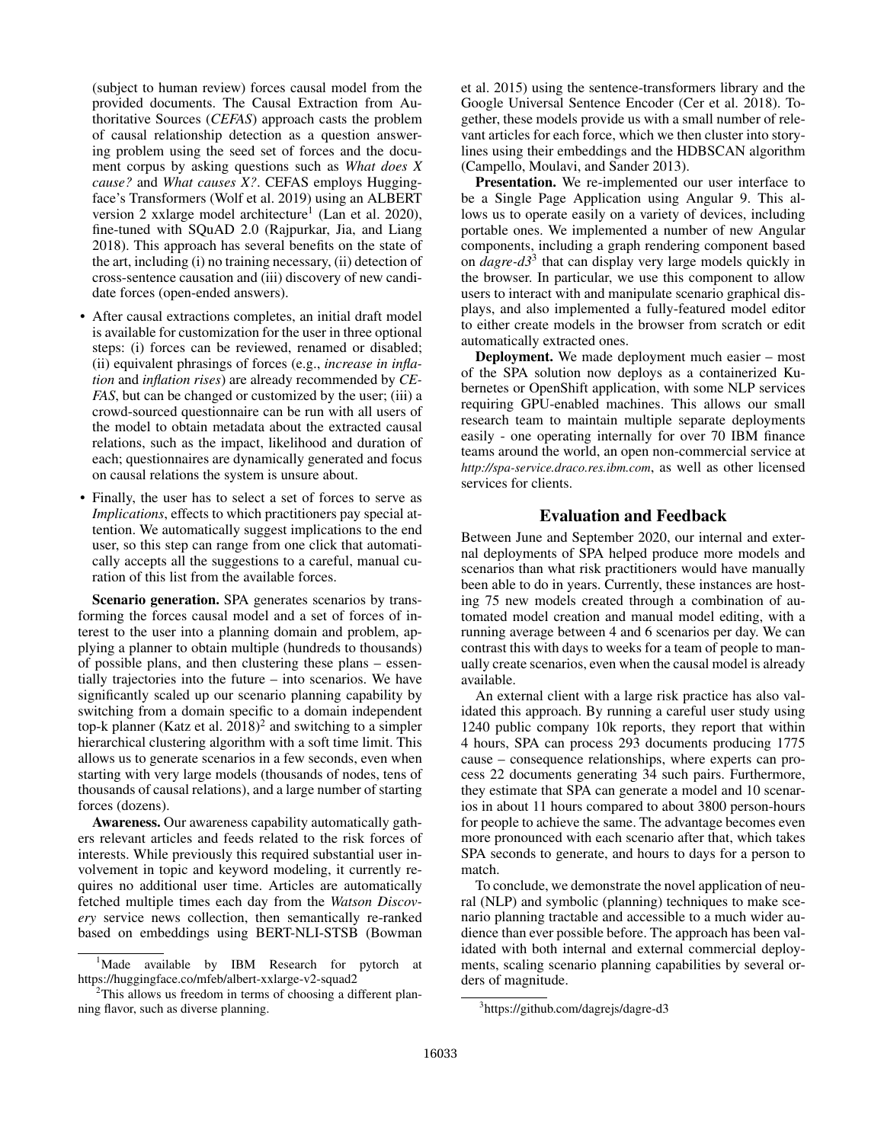(subject to human review) forces causal model from the provided documents. The Causal Extraction from Authoritative Sources (*CEFAS*) approach casts the problem of causal relationship detection as a question answering problem using the seed set of forces and the document corpus by asking questions such as *What does X cause?* and *What causes X?*. CEFAS employs Huggingface's Transformers (Wolf et al. 2019) using an ALBERT version 2 xxlarge model architecture<sup>1</sup> (Lan et al. 2020), fine-tuned with SQuAD 2.0 (Rajpurkar, Jia, and Liang 2018). This approach has several benefits on the state of the art, including (i) no training necessary, (ii) detection of cross-sentence causation and (iii) discovery of new candidate forces (open-ended answers).

- After causal extractions completes, an initial draft model is available for customization for the user in three optional steps: (i) forces can be reviewed, renamed or disabled; (ii) equivalent phrasings of forces (e.g., *increase in inflation* and *inflation rises*) are already recommended by *CE-FAS*, but can be changed or customized by the user; (iii) a crowd-sourced questionnaire can be run with all users of the model to obtain metadata about the extracted causal relations, such as the impact, likelihood and duration of each; questionnaires are dynamically generated and focus on causal relations the system is unsure about.
- Finally, the user has to select a set of forces to serve as *Implications*, effects to which practitioners pay special attention. We automatically suggest implications to the end user, so this step can range from one click that automatically accepts all the suggestions to a careful, manual curation of this list from the available forces.

Scenario generation. SPA generates scenarios by transforming the forces causal model and a set of forces of interest to the user into a planning domain and problem, applying a planner to obtain multiple (hundreds to thousands) of possible plans, and then clustering these plans – essentially trajectories into the future – into scenarios. We have significantly scaled up our scenario planning capability by switching from a domain specific to a domain independent top-k planner (Katz et al.  $2018)^2$  and switching to a simpler hierarchical clustering algorithm with a soft time limit. This allows us to generate scenarios in a few seconds, even when starting with very large models (thousands of nodes, tens of thousands of causal relations), and a large number of starting forces (dozens).

Awareness. Our awareness capability automatically gathers relevant articles and feeds related to the risk forces of interests. While previously this required substantial user involvement in topic and keyword modeling, it currently requires no additional user time. Articles are automatically fetched multiple times each day from the *Watson Discovery* service news collection, then semantically re-ranked based on embeddings using BERT-NLI-STSB (Bowman

et al. 2015) using the sentence-transformers library and the Google Universal Sentence Encoder (Cer et al. 2018). Together, these models provide us with a small number of relevant articles for each force, which we then cluster into storylines using their embeddings and the HDBSCAN algorithm (Campello, Moulavi, and Sander 2013).

Presentation. We re-implemented our user interface to be a Single Page Application using Angular 9. This allows us to operate easily on a variety of devices, including portable ones. We implemented a number of new Angular components, including a graph rendering component based on *dagre-d3*<sup>3</sup> that can display very large models quickly in the browser. In particular, we use this component to allow users to interact with and manipulate scenario graphical displays, and also implemented a fully-featured model editor to either create models in the browser from scratch or edit automatically extracted ones.

Deployment. We made deployment much easier – most of the SPA solution now deploys as a containerized Kubernetes or OpenShift application, with some NLP services requiring GPU-enabled machines. This allows our small research team to maintain multiple separate deployments easily - one operating internally for over 70 IBM finance teams around the world, an open non-commercial service at *http://spa-service.draco.res.ibm.com*, as well as other licensed services for clients.

## Evaluation and Feedback

Between June and September 2020, our internal and external deployments of SPA helped produce more models and scenarios than what risk practitioners would have manually been able to do in years. Currently, these instances are hosting 75 new models created through a combination of automated model creation and manual model editing, with a running average between 4 and 6 scenarios per day. We can contrast this with days to weeks for a team of people to manually create scenarios, even when the causal model is already available.

An external client with a large risk practice has also validated this approach. By running a careful user study using 1240 public company 10k reports, they report that within 4 hours, SPA can process 293 documents producing 1775 cause – consequence relationships, where experts can process 22 documents generating 34 such pairs. Furthermore, they estimate that SPA can generate a model and 10 scenarios in about 11 hours compared to about 3800 person-hours for people to achieve the same. The advantage becomes even more pronounced with each scenario after that, which takes SPA seconds to generate, and hours to days for a person to match.

To conclude, we demonstrate the novel application of neural (NLP) and symbolic (planning) techniques to make scenario planning tractable and accessible to a much wider audience than ever possible before. The approach has been validated with both internal and external commercial deployments, scaling scenario planning capabilities by several orders of magnitude.

<sup>&</sup>lt;sup>1</sup>Made available by IBM Research for pytorch at https://huggingface.co/mfeb/albert-xxlarge-v2-squad2

<sup>&</sup>lt;sup>2</sup>This allows us freedom in terms of choosing a different planning flavor, such as diverse planning.

<sup>3</sup> https://github.com/dagrejs/dagre-d3